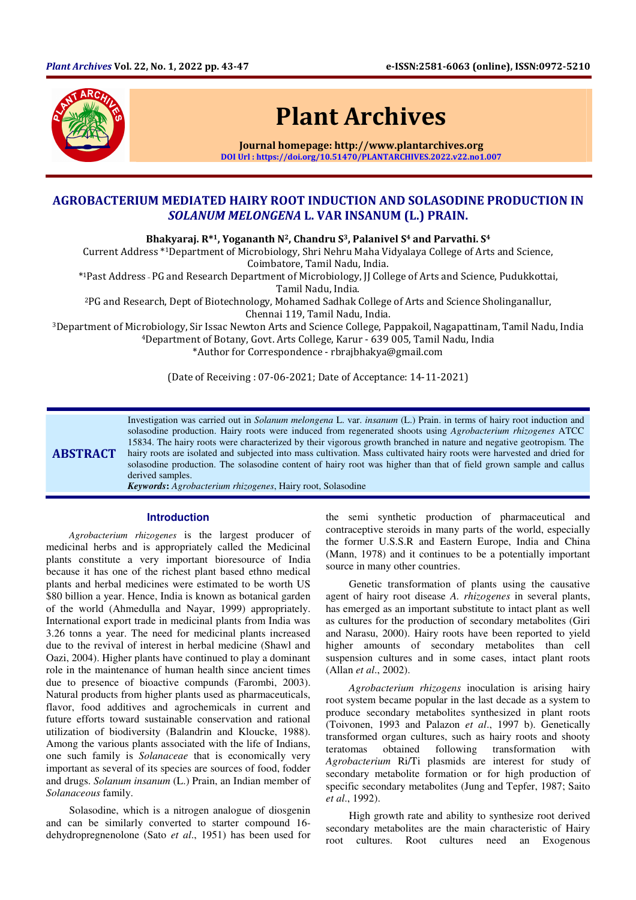

# Plant Archives

Journal homepage: http://www.plantarchives.org DOI Url : https://doi.org/10.51470/PLANTARCHIVES.2022.v22.no1.007

## AGROBACTERIUM MEDIATED HAIRY ROOT INDUCTION AND SOLASODINE PRODUCTION IN SOLANUM MELONGENA L. VAR INSANUM (L.) PRAIN.

Bhakyaraj. R\*1, Yogananth N<sup>2</sup>, Chandru S<sup>3</sup>, Palanivel S<sup>4</sup> and Parvathi. S<sup>4</sup>

Current Address \*1Department of Microbiology, Shri Nehru Maha Vidyalaya College of Arts and Science, Coimbatore, Tamil Nadu, India.

\* <sup>1</sup>Past Address \_ PG and Research Department of Microbiology, JJ College of Arts and Science, Pudukkottai, Tamil Nadu, India.

<sup>2</sup>PG and Research, Dept of Biotechnology, Mohamed Sadhak College of Arts and Science Sholinganallur, Chennai 119, Tamil Nadu, India.

<sup>3</sup>Department of Microbiology, Sir Issac Newton Arts and Science College, Pappakoil, Nagapattinam, Tamil Nadu, India <sup>4</sup>Department of Botany, Govt. Arts College, Karur - 639 005, Tamil Nadu, India \*Author for Correspondence - rbrajbhakya@gmail.com

(Date of Receiving : 07-06-2021; Date of Acceptance: 14-11-2021)

**ABSTRACT** Investigation was carried out in *Solanum melongena* L. var. *insanum* (L.) Prain. in terms of hairy root induction and solasodine production. Hairy roots were induced from regenerated shoots using *Agrobacterium rhizogenes* ATCC 15834. The hairy roots were characterized by their vigorous growth branched in nature and negative geotropism. The hairy roots are isolated and subjected into mass cultivation. Mass cultivated hairy roots were harvested and dried for solasodine production. The solasodine content of hairy root was higher than that of field grown sample and callus derived samples. *Keywords***:** *Agrobacterium rhizogenes*, Hairy root, Solasodine

## **Introduction**

*Agrobacterium rhizogenes* is the largest producer of medicinal herbs and is appropriately called the Medicinal plants constitute a very important bioresource of India because it has one of the richest plant based ethno medical plants and herbal medicines were estimated to be worth US \$80 billion a year. Hence, India is known as botanical garden of the world (Ahmedulla and Nayar, 1999) appropriately. International export trade in medicinal plants from India was 3.26 tonns a year. The need for medicinal plants increased due to the revival of interest in herbal medicine (Shawl and Oazi, 2004). Higher plants have continued to play a dominant role in the maintenance of human health since ancient times due to presence of bioactive compunds (Farombi, 2003). Natural products from higher plants used as pharmaceuticals, flavor, food additives and agrochemicals in current and future efforts toward sustainable conservation and rational utilization of biodiversity (Balandrin and Kloucke, 1988). Among the various plants associated with the life of Indians, one such family is *Solanaceae* that is economically very important as several of its species are sources of food, fodder and drugs. *Solanum insanum* (L.) Prain, an Indian member of *Solanaceous* family.

Solasodine, which is a nitrogen analogue of diosgenin and can be similarly converted to starter compound 16 dehydropregnenolone (Sato *et al*., 1951) has been used for the semi synthetic production of pharmaceutical and contraceptive steroids in many parts of the world, especially the former U.S.S.R and Eastern Europe, India and China (Mann, 1978) and it continues to be a potentially important source in many other countries.

Genetic transformation of plants using the causative agent of hairy root disease *A. rhizogenes* in several plants, has emerged as an important substitute to intact plant as well as cultures for the production of secondary metabolites (Giri and Narasu, 2000). Hairy roots have been reported to yield higher amounts of secondary metabolites than cell suspension cultures and in some cases, intact plant roots (Allan *et al*., 2002).

*Agrobacterium rhizogens* inoculation is arising hairy root system became popular in the last decade as a system to produce secondary metabolites synthesized in plant roots (Toivonen, 1993 and Palazon *et al*., 1997 b). Genetically transformed organ cultures, such as hairy roots and shooty teratomas obtained following transformation with *Agrobacterium* Ri/Ti plasmids are interest for study of secondary metabolite formation or for high production of specific secondary metabolites (Jung and Tepfer, 1987; Saito *et al*., 1992).

High growth rate and ability to synthesize root derived secondary metabolites are the main characteristic of Hairy root cultures. Root cultures need an Exogenous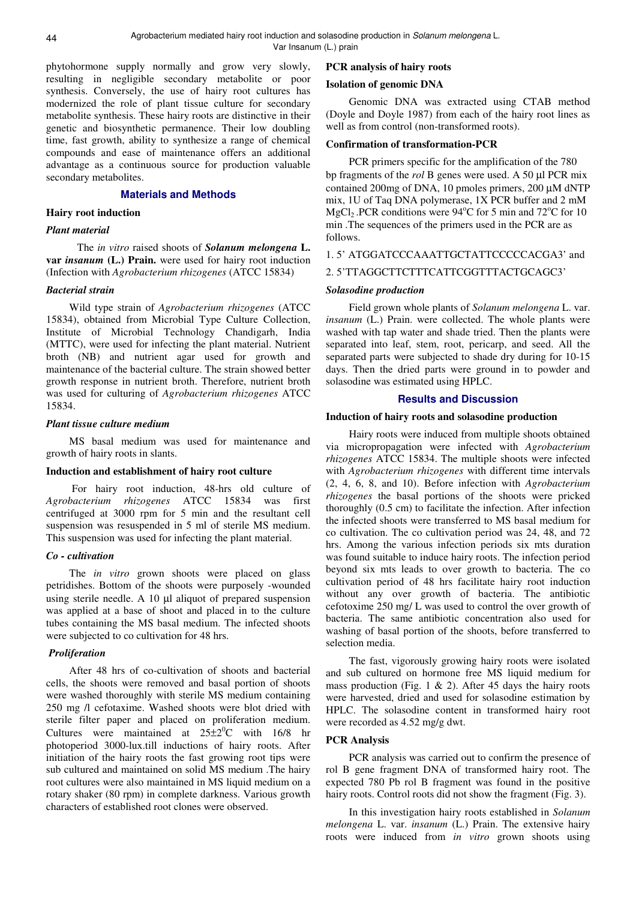phytohormone supply normally and grow very slowly, resulting in negligible secondary metabolite or poor synthesis. Conversely, the use of hairy root cultures has modernized the role of plant tissue culture for secondary metabolite synthesis. These hairy roots are distinctive in their genetic and biosynthetic permanence. Their low doubling time, fast growth, ability to synthesize a range of chemical compounds and ease of maintenance offers an additional advantage as a continuous source for production valuable secondary metabolites.

## **Materials and Methods**

## **Hairy root induction**

#### *Plant material*

 The *in vitro* raised shoots of *Solanum melongena* **L. var** *insanum* **(L.) Prain.** were used for hairy root induction (Infection with *Agrobacterium rhizogenes* (ATCC 15834)

## *Bacterial strain*

Wild type strain of *Agrobacterium rhizogenes* (ATCC 15834), obtained from Microbial Type Culture Collection, Institute of Microbial Technology Chandigarh, India (MTTC), were used for infecting the plant material. Nutrient broth (NB) and nutrient agar used for growth and maintenance of the bacterial culture. The strain showed better growth response in nutrient broth. Therefore, nutrient broth was used for culturing of *Agrobacterium rhizogenes* ATCC 15834.

#### *Plant tissue culture medium*

MS basal medium was used for maintenance and growth of hairy roots in slants.

#### **Induction and establishment of hairy root culture**

For hairy root induction, 48-hrs old culture of *Agrobacterium rhizogenes* ATCC 15834 was first centrifuged at 3000 rpm for 5 min and the resultant cell suspension was resuspended in 5 ml of sterile MS medium. This suspension was used for infecting the plant material.

## *Co - cultivation*

The *in vitro* grown shoots were placed on glass petridishes. Bottom of the shoots were purposely -wounded using sterile needle. A 10 µl aliquot of prepared suspension was applied at a base of shoot and placed in to the culture tubes containing the MS basal medium. The infected shoots were subjected to co cultivation for 48 hrs.

### *Proliferation*

After 48 hrs of co-cultivation of shoots and bacterial cells, the shoots were removed and basal portion of shoots were washed thoroughly with sterile MS medium containing 250 mg /l cefotaxime. Washed shoots were blot dried with sterile filter paper and placed on proliferation medium. Cultures were maintained at  $25\pm2\degree C$  with 16/8 hr photoperiod 3000-lux.till inductions of hairy roots. After initiation of the hairy roots the fast growing root tips were sub cultured and maintained on solid MS medium .The hairy root cultures were also maintained in MS liquid medium on a rotary shaker (80 rpm) in complete darkness. Various growth characters of established root clones were observed.

#### **PCR analysis of hairy roots**

#### **Isolation of genomic DNA**

Genomic DNA was extracted using CTAB method (Doyle and Doyle 1987) from each of the hairy root lines as well as from control (non-transformed roots).

#### **Confirmation of transformation-PCR**

PCR primers specific for the amplification of the 780 bp fragments of the *rol* B genes were used. A 50 µl PCR mix contained 200mg of DNA, 10 pmoles primers, 200 µM dNTP mix, 1U of Taq DNA polymerase, 1X PCR buffer and 2 mM MgCl<sub>2</sub> .PCR conditions were 94<sup>o</sup>C for 5 min and 72<sup>o</sup>C for 10 min .The sequences of the primers used in the PCR are as follows.

#### 1. 5' ATGGATCCCAAATTGCTATTCCCCCACGA3' and

#### 2. 5'TTAGGCTTCTTTCATTCGGTTTACTGCAGC3'

#### *Solasodine production*

Field grown whole plants of *Solanum melongena* L. var. *insanum* (L.) Prain. were collected. The whole plants were washed with tap water and shade tried. Then the plants were separated into leaf, stem, root, pericarp, and seed. All the separated parts were subjected to shade dry during for 10-15 days. Then the dried parts were ground in to powder and solasodine was estimated using HPLC.

#### **Results and Discussion**

#### **Induction of hairy roots and solasodine production**

Hairy roots were induced from multiple shoots obtained via micropropagation were infected with *Agrobacterium rhizogenes* ATCC 15834. The multiple shoots were infected with *Agrobacterium rhizogenes* with different time intervals (2, 4, 6, 8, and 10). Before infection with *Agrobacterium rhizogenes* the basal portions of the shoots were pricked thoroughly (0.5 cm) to facilitate the infection. After infection the infected shoots were transferred to MS basal medium for co cultivation. The co cultivation period was 24, 48, and 72 hrs. Among the various infection periods six mts duration was found suitable to induce hairy roots. The infection period beyond six mts leads to over growth to bacteria. The co cultivation period of 48 hrs facilitate hairy root induction without any over growth of bacteria. The antibiotic cefotoxime 250 mg/ L was used to control the over growth of bacteria. The same antibiotic concentration also used for washing of basal portion of the shoots, before transferred to selection media.

The fast, vigorously growing hairy roots were isolated and sub cultured on hormone free MS liquid medium for mass production (Fig. 1  $\&$  2). After 45 days the hairy roots were harvested, dried and used for solasodine estimation by HPLC. The solasodine content in transformed hairy root were recorded as 4.52 mg/g dwt.

## **PCR Analysis**

PCR analysis was carried out to confirm the presence of rol B gene fragment DNA of transformed hairy root. The expected 780 Pb rol B fragment was found in the positive hairy roots. Control roots did not show the fragment (Fig. 3).

In this investigation hairy roots established in *Solanum melongena* L. var. *insanum* (L.) Prain. The extensive hairy roots were induced from *in vitro* grown shoots using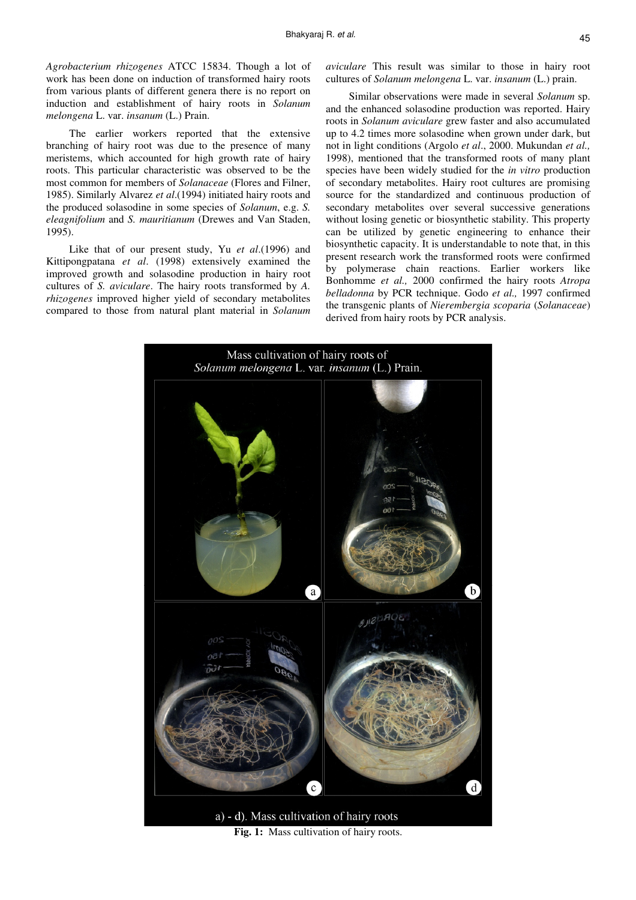*Agrobacterium rhizogenes* ATCC 15834. Though a lot of work has been done on induction of transformed hairy roots from various plants of different genera there is no report on induction and establishment of hairy roots in *Solanum melongena* L. var. *insanum* (L.) Prain.

The earlier workers reported that the extensive branching of hairy root was due to the presence of many meristems, which accounted for high growth rate of hairy roots. This particular characteristic was observed to be the most common for members of *Solanaceae* (Flores and Filner, 1985). Similarly Alvarez *et al*.(1994) initiated hairy roots and the produced solasodine in some species of *Solanum*, e.g. *S. eleagnifolium* and *S. mauritianum* (Drewes and Van Staden, 1995).

Like that of our present study, Yu *et al*.(1996) and Kittipongpatana *et al*. (1998) extensively examined the improved growth and solasodine production in hairy root cultures of *S. aviculare*. The hairy roots transformed by *A. rhizogenes* improved higher yield of secondary metabolites compared to those from natural plant material in *Solanum* 

*aviculare* This result was similar to those in hairy root cultures of *Solanum melongena* L. var. *insanum* (L.) prain.

Similar observations were made in several *Solanum* sp. and the enhanced solasodine production was reported. Hairy roots in *Solanum aviculare* grew faster and also accumulated up to 4.2 times more solasodine when grown under dark, but not in light conditions (Argolo *et al*., 2000. Mukundan *et al.,* 1998), mentioned that the transformed roots of many plant species have been widely studied for the *in vitro* production of secondary metabolites. Hairy root cultures are promising source for the standardized and continuous production of secondary metabolites over several successive generations without losing genetic or biosynthetic stability. This property can be utilized by genetic engineering to enhance their biosynthetic capacity. It is understandable to note that, in this present research work the transformed roots were confirmed by polymerase chain reactions. Earlier workers like Bonhomme *et al.,* 2000 confirmed the hairy roots *Atropa belladonna* by PCR technique. Godo *et al.,* 1997 confirmed the transgenic plants of *Nierembergia scoparia* (*Solanaceae*) derived from hairy roots by PCR analysis.



Fig. 1: Mass cultivation of hairy roots.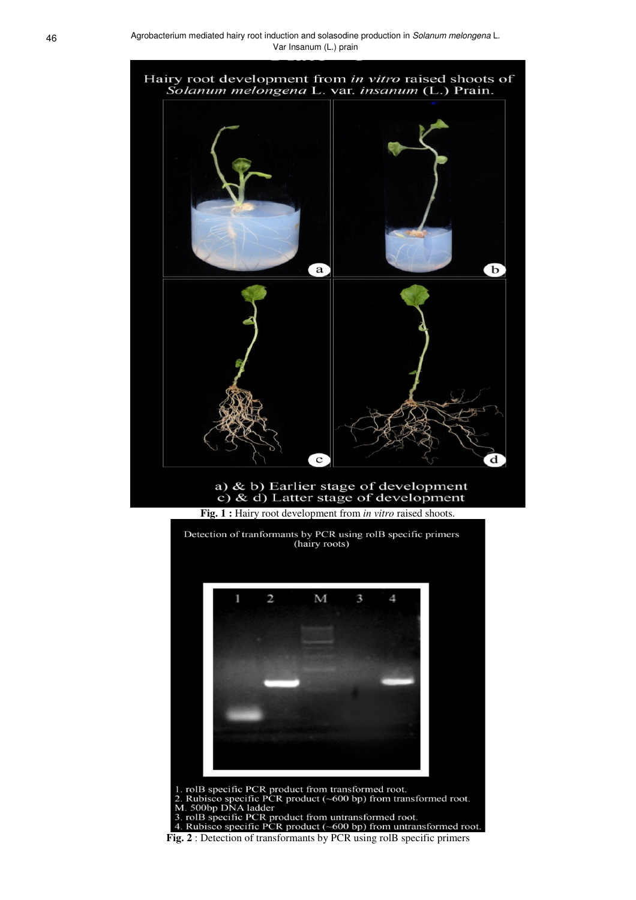